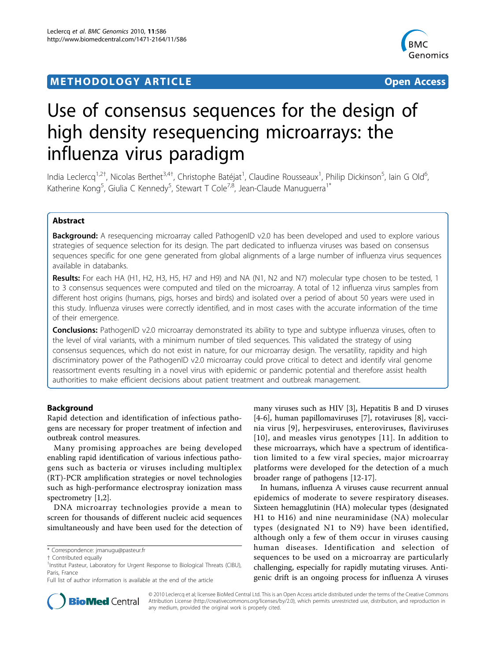# **METHODOLOGY ARTICLE Example 2018 12:00 Development Construction Construction**



# Use of consensus sequences for the design of high density resequencing microarrays: the influenza virus paradigm

India Leclercq<sup>1,2†</sup>, Nicolas Berthet<sup>3,4†</sup>, Christophe Batéjat<sup>1</sup>, Claudine Rousseaux<sup>1</sup>, Philip Dickinson<sup>5</sup>, Iain G Old<sup>6</sup> , Katherine Kong<sup>5</sup>, Giulia C Kennedy<sup>5</sup>, Stewart T Cole<sup>7,8</sup>, Jean-Claude Manuguerra<sup>1\*</sup>

# Abstract

**Background:** A resequencing microarray called PathogenID v2.0 has been developed and used to explore various strategies of sequence selection for its design. The part dedicated to influenza viruses was based on consensus sequences specific for one gene generated from global alignments of a large number of influenza virus sequences available in databanks.

Results: For each HA (H1, H2, H3, H5, H7 and H9) and NA (N1, N2 and N7) molecular type chosen to be tested, 1 to 3 consensus sequences were computed and tiled on the microarray. A total of 12 influenza virus samples from different host origins (humans, pigs, horses and birds) and isolated over a period of about 50 years were used in this study. Influenza viruses were correctly identified, and in most cases with the accurate information of the time of their emergence.

**Conclusions:** PathogenID v2.0 microarray demonstrated its ability to type and subtype influenza viruses, often to the level of viral variants, with a minimum number of tiled sequences. This validated the strategy of using consensus sequences, which do not exist in nature, for our microarray design. The versatility, rapidity and high discriminatory power of the PathogenID v2.0 microarray could prove critical to detect and identify viral genome reassortment events resulting in a novel virus with epidemic or pandemic potential and therefore assist health authorities to make efficient decisions about patient treatment and outbreak management.

# Background

Rapid detection and identification of infectious pathogens are necessary for proper treatment of infection and outbreak control measures.

Many promising approaches are being developed enabling rapid identification of various infectious pathogens such as bacteria or viruses including multiplex (RT)-PCR amplification strategies or novel technologies such as high-performance electrospray ionization mass spectrometry [\[1,2](#page-6-0)].

DNA microarray technologies provide a mean to screen for thousands of different nucleic acid sequences simultaneously and have been used for the detection of many viruses such as HIV [\[3](#page-6-0)], Hepatitis B and D viruses [[4-6](#page-7-0)], human papillomaviruses [[7\]](#page-7-0), rotaviruses [\[8](#page-7-0)], vaccinia virus [\[9\]](#page-7-0), herpesviruses, enteroviruses, flaviviruses [[10](#page-7-0)], and measles virus genotypes [\[11\]](#page-7-0). In addition to these microarrays, which have a spectrum of identification limited to a few viral species, major microarray platforms were developed for the detection of a much broader range of pathogens [[12-17](#page-7-0)].

In humans, influenza A viruses cause recurrent annual epidemics of moderate to severe respiratory diseases. Sixteen hemagglutinin (HA) molecular types (designated H1 to H16) and nine neuraminidase (NA) molecular types (designated N1 to N9) have been identified, although only a few of them occur in viruses causing human diseases. Identification and selection of sequences to be used on a microarray are particularly challenging, especially for rapidly mutating viruses. Antigenic drift is an ongoing process for influenza A viruses



© 2010 Leclercq et al; licensee BioMed Central Ltd. This is an Open Access article distributed under the terms of the Creative Commons Attribution License [\(http://creativecommons.org/licenses/by/2.0](http://creativecommons.org/licenses/by/2.0)), which permits unrestricted use, distribution, and reproduction in any medium, provided the original work is properly cited.

<sup>\*</sup> Correspondence: [jmanugu@pasteur.fr](mailto:jmanugu@pasteur.fr)

<sup>†</sup> Contributed equally <sup>1</sup>

<sup>&</sup>lt;sup>1</sup>Institut Pasteur, Laboratory for Urgent Response to Biological Threats (CIBU), Paris, France

Full list of author information is available at the end of the article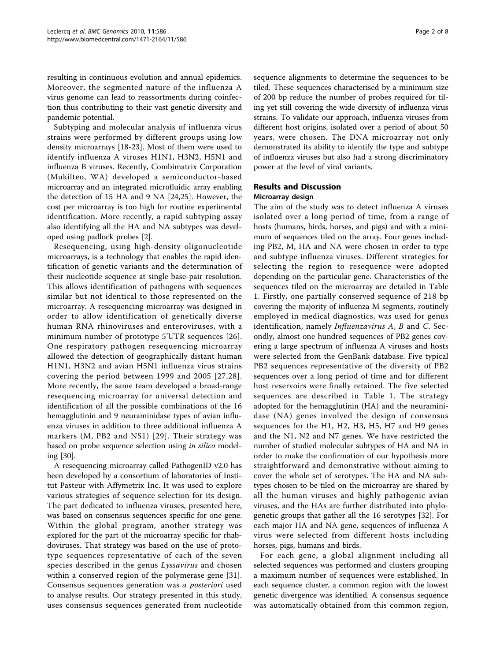resulting in continuous evolution and annual epidemics. Moreover, the segmented nature of the influenza A virus genome can lead to reassortments during coinfection thus contributing to their vast genetic diversity and pandemic potential.

Subtyping and molecular analysis of influenza virus strains were performed by different groups using low density microarrays [[18](#page-7-0)-[23\]](#page-7-0). Most of them were used to identify influenza A viruses H1N1, H3N2, H5N1 and influenza B viruses. Recently, Combimatrix Corporation (Mukilteo, WA) developed a semiconductor-based microarray and an integrated microfluidic array enabling the detection of 15 HA and 9 NA [[24,25\]](#page-7-0). However, the cost per microarray is too high for routine experimental identification. More recently, a rapid subtyping assay also identifying all the HA and NA subtypes was developed using padlock probes [\[2](#page-6-0)].

Resequencing, using high-density oligonucleotide microarrays, is a technology that enables the rapid identification of genetic variants and the determination of their nucleotide sequence at single base-pair resolution. This allows identification of pathogens with sequences similar but not identical to those represented on the microarray. A resequencing microarray was designed in order to allow identification of genetically diverse human RNA rhinoviruses and enteroviruses, with a minimum number of prototype 5'UTR sequences [[26](#page-7-0)]. One respiratory pathogen resequencing microarray allowed the detection of geographically distant human H1N1, H3N2 and avian H5N1 influenza virus strains covering the period between 1999 and 2005 [[27,28\]](#page-7-0). More recently, the same team developed a broad-range resequencing microarray for universal detection and identification of all the possible combinations of the 16 hemagglutinin and 9 neuraminidase types of avian influenza viruses in addition to three additional influenza A markers (M, PB2 and NS1) [[29](#page-7-0)]. Their strategy was based on probe sequence selection using in silico modeling [[30](#page-7-0)].

A resequencing microarray called PathogenID v2.0 has been developed by a consortium of laboratories of Institut Pasteur with Affymetrix Inc. It was used to explore various strategies of sequence selection for its design. The part dedicated to influenza viruses, presented here, was based on consensus sequences specific for one gene. Within the global program, another strategy was explored for the part of the microarray specific for rhabdoviruses. That strategy was based on the use of prototype sequences representative of each of the seven species described in the genus Lyssavirus and chosen within a conserved region of the polymerase gene [[31](#page-7-0)]. Consensus sequences generation was a posteriori used to analyse results. Our strategy presented in this study, uses consensus sequences generated from nucleotide sequence alignments to determine the sequences to be tiled. These sequences characterised by a minimum size of 200 bp reduce the number of probes required for tiling yet still covering the wide diversity of influenza virus strains. To validate our approach, influenza viruses from different host origins, isolated over a period of about 50 years, were chosen. The DNA microarray not only demonstrated its ability to identify the type and subtype of influenza viruses but also had a strong discriminatory power at the level of viral variants.

# Results and Discussion

#### Microarray design

The aim of the study was to detect influenza A viruses isolated over a long period of time, from a range of hosts (humans, birds, horses, and pigs) and with a minimum of sequences tiled on the array. Four genes including PB2, M, HA and NA were chosen in order to type and subtype influenza viruses. Different strategies for selecting the region to resequence were adopted depending on the particular gene. Characteristics of the sequences tiled on the microarray are detailed in Table [1.](#page-2-0) Firstly, one partially conserved sequence of 218 bp covering the majority of influenza M segments, routinely employed in medical diagnostics, was used for genus identification, namely Influenzavirus A, B and C. Secondly, almost one hundred sequences of PB2 genes covering a large spectrum of influenza A viruses and hosts were selected from the GenBank database. Five typical PB2 sequences representative of the diversity of PB2 sequences over a long period of time and for different host reservoirs were finally retained. The five selected sequences are described in Table [1.](#page-2-0) The strategy adopted for the hemagglutinin (HA) and the neuraminidase (NA) genes involved the design of consensus sequences for the H1, H2, H3, H5, H7 and H9 genes and the N1, N2 and N7 genes. We have restricted the number of studied molecular subtypes of HA and NA in order to make the confirmation of our hypothesis more straightforward and demonstrative without aiming to cover the whole set of serotypes. The HA and NA subtypes chosen to be tiled on the microarray are shared by all the human viruses and highly pathogenic avian viruses, and the HAs are further distributed into phylogenetic groups that gather all the 16 serotypes [[32\]](#page-7-0). For each major HA and NA gene, sequences of influenza A virus were selected from different hosts including horses, pigs, humans and birds.

For each gene, a global alignment including all selected sequences was performed and clusters grouping a maximum number of sequences were established. In each sequence cluster, a common region with the lowest genetic divergence was identified. A consensus sequence was automatically obtained from this common region,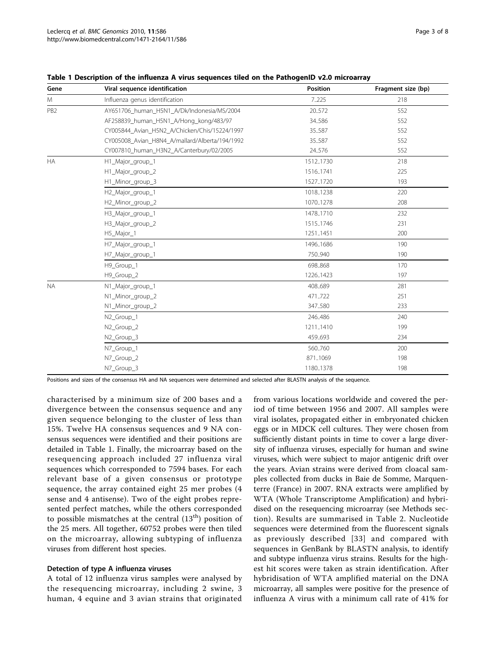| Gene            | Viral sequence identification                  | Position  | Fragment size (bp) |
|-----------------|------------------------------------------------|-----------|--------------------|
| M               | Influenza genus identification                 | 7.225     | 218                |
| PB <sub>2</sub> | AY651706_human_H5N1_A/Dk/Indonesia/MS/2004     | 20.572    | 552                |
|                 | AF258839_human_H5N1_A/Hong_kong/483/97         | 34.586    | 552                |
|                 | CY005844_Avian_H5N2_A/Chicken/Chis/15224/1997  | 35.587    | 552                |
|                 | CY005008_Avian_H8N4_A/mallard/Alberta/194/1992 | 35.587    | 552                |
|                 | CY007810_human_H3N2_A/Canterbury/02/2005       | 24.576    | 552                |
| <b>HA</b>       | H1_Major_group_1                               | 1512.1730 | 218                |
|                 | H1_Major_group_2                               | 15161741  | 225                |
|                 | H1_Minor_group_3                               | 1527.1720 | 193                |
|                 | H2_Major_group_1                               | 1018.1238 | 220                |
|                 | H2_Minor_group_2                               | 10701278  | 208                |
|                 | H3_Major_group_1                               | 1478.1710 | 232                |
|                 | H3_Major_group_2                               | 1515.1746 | 231                |
|                 | H5_Major_1                                     | 12511451  | 200                |
|                 | H7_Major_group_1                               | 14961686  | 190                |
|                 | H7_Major_group_1                               | 750.940   | 190                |
|                 | H9 Group 1                                     | 698.868   | 170                |
|                 | H9_Group_2                                     | 12261423  | 197                |
| <b>NA</b>       | N1_Major_group_1                               | 408.689   | 281                |
|                 | N1_Minor_group_2                               | 471722    | 251                |
|                 | N1_Minor_group_2                               | 347.580   | 233                |
|                 | N <sub>2</sub> Group 1                         | 246.486   | 240                |
|                 | N <sub>2</sub> _Group_2                        | 12111410  | 199                |
|                 | N2_Group_3                                     | 459.693   | 234                |
|                 | N7 Group 1                                     | 560760    | 200                |
|                 | N7_Group_2                                     | 871.1069  | 198                |
|                 | N7_Group_3                                     | 11801378  | 198                |

<span id="page-2-0"></span>Table 1 Description of the influenza A virus sequences tiled on the PathogenID v2.0 microarray

Positions and sizes of the consensus HA and NA sequences were determined and selected after BLASTN analysis of the sequence.

characterised by a minimum size of 200 bases and a divergence between the consensus sequence and any given sequence belonging to the cluster of less than 15%. Twelve HA consensus sequences and 9 NA consensus sequences were identified and their positions are detailed in Table 1. Finally, the microarray based on the resequencing approach included 27 influenza viral sequences which corresponded to 7594 bases. For each relevant base of a given consensus or prototype sequence, the array contained eight 25 mer probes (4 sense and 4 antisense). Two of the eight probes represented perfect matches, while the others corresponded to possible mismatches at the central  $(13<sup>th</sup>)$  position of the 25 mers. All together, 60752 probes were then tiled on the microarray, allowing subtyping of influenza viruses from different host species.

#### Detection of type A influenza viruses

A total of 12 influenza virus samples were analysed by the resequencing microarray, including 2 swine, 3 human, 4 equine and 3 avian strains that originated from various locations worldwide and covered the period of time between 1956 and 2007. All samples were viral isolates, propagated either in embryonated chicken eggs or in MDCK cell cultures. They were chosen from sufficiently distant points in time to cover a large diversity of influenza viruses, especially for human and swine viruses, which were subject to major antigenic drift over the years. Avian strains were derived from cloacal samples collected from ducks in Baie de Somme, Marquenterre (France) in 2007. RNA extracts were amplified by WTA (Whole Transcriptome Amplification) and hybridised on the resequencing microarray (see Methods section). Results are summarised in Table [2](#page-3-0). Nucleotide sequences were determined from the fluorescent signals as previously described [[33](#page-7-0)] and compared with sequences in GenBank by BLASTN analysis, to identify and subtype influenza virus strains. Results for the highest hit scores were taken as strain identification. After hybridisation of WTA amplified material on the DNA microarray, all samples were positive for the presence of influenza A virus with a minimum call rate of 41% for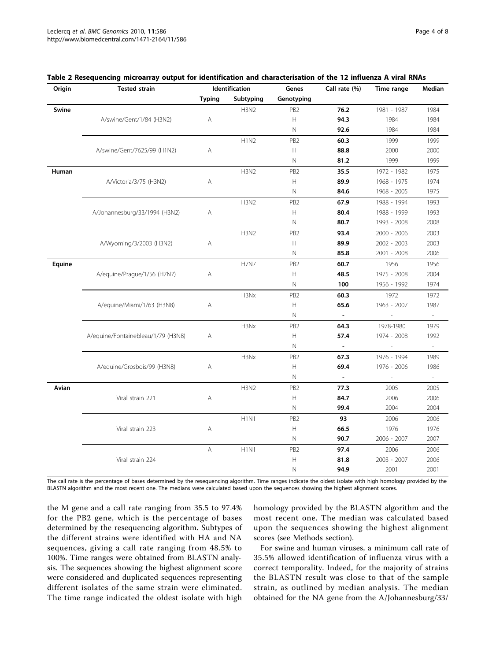| Origin | <b>Tested strain</b>               | Identification |                               | Genes           | Call rate (%)  | Time range               | Median                   |
|--------|------------------------------------|----------------|-------------------------------|-----------------|----------------|--------------------------|--------------------------|
|        |                                    | <b>Typing</b>  | Subtyping                     | Genotyping      |                |                          |                          |
| Swine  |                                    |                | H3N2                          | PB <sub>2</sub> | 76.2           | 1981 - 1987              | 1984                     |
|        | A/swine/Gent/1/84 (H3N2)           | Α              |                               | н               | 94.3           | 1984                     | 1984                     |
|        |                                    |                |                               | Ν               | 92.6           | 1984                     | 1984                     |
|        |                                    |                | H1N2                          | PB <sub>2</sub> | 60.3           | 1999                     | 1999                     |
|        | A/swine/Gent/7625/99 (H1N2)        | Α              |                               | Н               | 88.8           | 2000                     | 2000                     |
|        |                                    |                |                               | Ν               | 81.2           | 1999                     | 1999                     |
| Human  |                                    |                | <b>H3N2</b>                   | PB <sub>2</sub> | 35.5           | 1972 - 1982              | 1975                     |
|        | A/Victoria/3/75 (H3N2)             | Α              |                               | Н               | 89.9           | 1968 - 1975              | 1974                     |
|        |                                    |                |                               | N               | 84.6           | 1968 - 2005              | 1975                     |
|        |                                    |                | H3N2                          | PB <sub>2</sub> | 67.9           | 1988 - 1994              | 1993                     |
|        | A/Johannesburg/33/1994 (H3N2)      | Α              |                               | H               | 80.4           | 1988 - 1999              | 1993                     |
|        |                                    |                |                               | N               | 80.7           | 1993 - 2008              | 2008                     |
|        |                                    |                | H3N2                          | PB <sub>2</sub> | 93.4           | 2000 - 2006              | 2003                     |
|        | A/Wyoming/3/2003 (H3N2)            | Α              |                               | Н               | 89.9           | 2002 - 2003              | 2003                     |
|        |                                    |                |                               | N               | 85.8           | 2001 - 2008              | 2006                     |
| Equine |                                    |                | <b>H7N7</b>                   | PB <sub>2</sub> | 60.7           | 1956                     | 1956                     |
|        | A/equine/Prague/1/56 (H7N7)        | Α              |                               | Н               | 48.5           | 1975 - 2008              | 2004                     |
|        |                                    |                |                               | N               | 100            | 1956 - 1992              | 1974                     |
|        |                                    |                | H3Nx                          | PB <sub>2</sub> | 60.3           | 1972                     | 1972                     |
|        | A/equine/Miami/1/63 (H3N8)         | Α              |                               | Н               | 65.6           | 1963 - 2007              | 1987                     |
|        |                                    |                |                               | Ν               | $\blacksquare$ | $\overline{\phantom{a}}$ | $\overline{\phantom{a}}$ |
|        |                                    |                | H3Nx                          | PB <sub>2</sub> | 64.3           | 1978-1980                | 1979                     |
|        | A/equine/Fontainebleau/1/79 (H3N8) | Α              |                               | Н               | 57.4           | 1974 - 2008              | 1992                     |
|        |                                    |                |                               | $\mathbb N$     | $\Box$         | $\overline{\phantom{a}}$ | $\overline{\phantom{a}}$ |
|        |                                    |                | H3Nx                          | PB <sub>2</sub> | 67.3           | 1976 - 1994              | 1989                     |
|        | A/equine/Grosbois/99 (H3N8)        | Α              |                               | H               | 69.4           | 1976 - 2006              | 1986                     |
|        |                                    |                |                               | N               | $\equiv$       | $\overline{a}$           | ÷.                       |
| Avian  |                                    |                | H3N2                          | PB <sub>2</sub> | 77.3           | 2005                     | 2005                     |
|        | Viral strain 221                   | Α              |                               | Н               | 84.7           | 2006                     | 2006                     |
|        |                                    |                |                               | N               | 99.4           | 2004                     | 2004                     |
|        |                                    |                | H <sub>1</sub> N <sub>1</sub> | PB <sub>2</sub> | 93             | 2006                     | 2006                     |
|        | Viral strain 223                   | Α              |                               | Н               | 66.5           | 1976                     | 1976                     |
|        |                                    |                |                               | N               | 90.7           | 2006 - 2007              | 2007                     |
|        |                                    | $\mathsf{A}$   | H <sub>1</sub> N <sub>1</sub> | PB <sub>2</sub> | 97.4           | 2006                     | 2006                     |
|        | Viral strain 224                   |                |                               | Н               | 81.8           | 2003 - 2007              | 2006                     |
|        |                                    |                |                               | Ν               | 94.9           | 2001                     | 2001                     |

<span id="page-3-0"></span>

| Table 2 Resequencing microarray output for identification and characterisation of the 12 influenza A viral RNAs |  |  |
|-----------------------------------------------------------------------------------------------------------------|--|--|
|-----------------------------------------------------------------------------------------------------------------|--|--|

The call rate is the percentage of bases determined by the resequencing algorithm. Time ranges indicate the oldest isolate with high homology provided by the BLASTN algorithm and the most recent one. The medians were calculated based upon the sequences showing the highest alignment scores.

the M gene and a call rate ranging from 35.5 to 97.4% for the PB2 gene, which is the percentage of bases determined by the resequencing algorithm. Subtypes of the different strains were identified with HA and NA sequences, giving a call rate ranging from 48.5% to 100%. Time ranges were obtained from BLASTN analysis. The sequences showing the highest alignment score were considered and duplicated sequences representing different isolates of the same strain were eliminated. The time range indicated the oldest isolate with high homology provided by the BLASTN algorithm and the most recent one. The median was calculated based upon the sequences showing the highest alignment scores (see Methods section).

For swine and human viruses, a minimum call rate of 35.5% allowed identification of influenza virus with a correct temporality. Indeed, for the majority of strains the BLASTN result was close to that of the sample strain, as outlined by median analysis. The median obtained for the NA gene from the A/Johannesburg/33/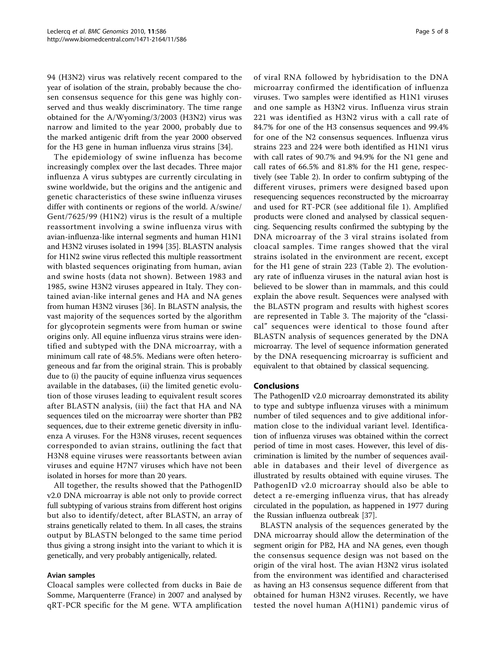94 (H3N2) virus was relatively recent compared to the year of isolation of the strain, probably because the chosen consensus sequence for this gene was highly conserved and thus weakly discriminatory. The time range obtained for the A/Wyoming/3/2003 (H3N2) virus was narrow and limited to the year 2000, probably due to the marked antigenic drift from the year 2000 observed for the H3 gene in human influenza virus strains [[34](#page-7-0)].

The epidemiology of swine influenza has become increasingly complex over the last decades. Three major influenza A virus subtypes are currently circulating in swine worldwide, but the origins and the antigenic and genetic characteristics of these swine influenza viruses differ with continents or regions of the world. A/swine/ Gent/7625/99 (H1N2) virus is the result of a multiple reassortment involving a swine influenza virus with avian-influenza-like internal segments and human H1N1 and H3N2 viruses isolated in 1994 [[35\]](#page-7-0). BLASTN analysis for H1N2 swine virus reflected this multiple reassortment with blasted sequences originating from human, avian and swine hosts (data not shown). Between 1983 and 1985, swine H3N2 viruses appeared in Italy. They contained avian-like internal genes and HA and NA genes from human H3N2 viruses [\[36\]](#page-7-0). In BLASTN analysis, the vast majority of the sequences sorted by the algorithm for glycoprotein segments were from human or swine origins only. All equine influenza virus strains were identified and subtyped with the DNA microarray, with a minimum call rate of 48.5%. Medians were often heterogeneous and far from the original strain. This is probably due to (i) the paucity of equine influenza virus sequences available in the databases, (ii) the limited genetic evolution of those viruses leading to equivalent result scores after BLASTN analysis, (iii) the fact that HA and NA sequences tiled on the microarray were shorter than PB2 sequences, due to their extreme genetic diversity in influenza A viruses. For the H3N8 viruses, recent sequences corresponded to avian strains, outlining the fact that H3N8 equine viruses were reassortants between avian viruses and equine H7N7 viruses which have not been isolated in horses for more than 20 years.

All together, the results showed that the PathogenID v2.0 DNA microarray is able not only to provide correct full subtyping of various strains from different host origins but also to identify/detect, after BLASTN, an array of strains genetically related to them. In all cases, the strains output by BLASTN belonged to the same time period thus giving a strong insight into the variant to which it is genetically, and very probably antigenically, related.

# Avian samples

Cloacal samples were collected from ducks in Baie de Somme, Marquenterre (France) in 2007 and analysed by qRT-PCR specific for the M gene. WTA amplification of viral RNA followed by hybridisation to the DNA microarray confirmed the identification of influenza viruses. Two samples were identified as H1N1 viruses and one sample as H3N2 virus. Influenza virus strain 221 was identified as H3N2 virus with a call rate of 84.7% for one of the H3 consensus sequences and 99.4% for one of the N2 consensus sequences. Influenza virus strains 223 and 224 were both identified as H1N1 virus with call rates of 90.7% and 94.9% for the N1 gene and call rates of 66.5% and 81.8% for the H1 gene, respectively (see Table [2](#page-3-0)). In order to confirm subtyping of the different viruses, primers were designed based upon resequencing sequences reconstructed by the microarray and used for RT-PCR (see additional file [1\)](#page-6-0). Amplified products were cloned and analysed by classical sequencing. Sequencing results confirmed the subtyping by the DNA microarray of the 3 viral strains isolated from cloacal samples. Time ranges showed that the viral strains isolated in the environment are recent, except for the H1 gene of strain 223 (Table [2](#page-3-0)). The evolutionary rate of influenza viruses in the natural avian host is believed to be slower than in mammals, and this could explain the above result. Sequences were analysed with the BLASTN program and results with highest scores are represented in Table [3.](#page-5-0) The majority of the "classical" sequences were identical to those found after BLASTN analysis of sequences generated by the DNA microarray. The level of sequence information generated by the DNA resequencing microarray is sufficient and equivalent to that obtained by classical sequencing.

#### Conclusions

The PathogenID v2.0 microarray demonstrated its ability to type and subtype influenza viruses with a minimum number of tiled sequences and to give additional information close to the individual variant level. Identification of influenza viruses was obtained within the correct period of time in most cases. However, this level of discrimination is limited by the number of sequences available in databases and their level of divergence as illustrated by results obtained with equine viruses. The PathogenID v2.0 microarray should also be able to detect a re-emerging influenza virus, that has already circulated in the population, as happened in 1977 during the Russian influenza outbreak [[37](#page-7-0)].

BLASTN analysis of the sequences generated by the DNA microarray should allow the determination of the segment origin for PB2, HA and NA genes, even though the consensus sequence design was not based on the origin of the viral host. The avian H3N2 virus isolated from the environment was identified and characterised as having an H3 consensus sequence different from that obtained for human H3N2 viruses. Recently, we have tested the novel human A(H1N1) pandemic virus of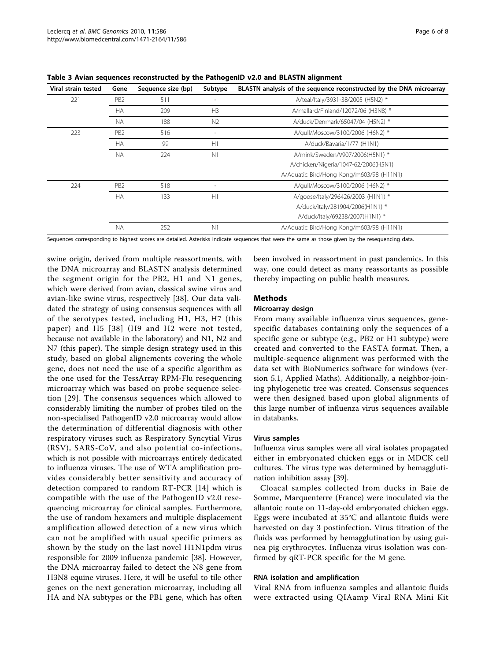| Viral strain tested | Gene            | Sequence size (bp) | Subtype                  | BLASTN analysis of the sequence reconstructed by the DNA microarray |
|---------------------|-----------------|--------------------|--------------------------|---------------------------------------------------------------------|
| 221                 | PB <sub>2</sub> | 511                | $\overline{\phantom{a}}$ | A/teal/Italy/3931-38/2005 (H5N2) *                                  |
|                     | <b>HA</b>       | 209                | H <sub>3</sub>           | A/mallard/Finland/12072/06 (H3N8) *                                 |
|                     | <b>NA</b>       | 188                | N <sub>2</sub>           | A/duck/Denmark/65047/04 (H5N2) *                                    |
| 223                 | PB <sub>2</sub> | 516                | $\overline{a}$           | A/gull/Moscow/3100/2006 (H6N2) *                                    |
|                     | <b>HA</b>       | 99                 | H1                       | A/duck/Bavaria/1/77 (H1N1)                                          |
|                     | <b>NA</b>       | 224                | N <sub>1</sub>           | A/mink/Sweden/V907/2006(H5N1) *                                     |
|                     |                 |                    |                          | A/chicken/Nigeria/1047-62/2006(H5N1)                                |
|                     |                 |                    |                          | A/Aquatic Bird/Hong Kong/m603/98 (H11N1)                            |
| 224                 | PB <sub>2</sub> | 518                | $\overline{a}$           | A/gull/Moscow/3100/2006 (H6N2) *                                    |
|                     | <b>HA</b>       | 133                | H1                       | A/goose/Italy/296426/2003 (H1N1) *                                  |
|                     |                 |                    |                          | A/duck/Italy/281904/2006(H1N1) *                                    |
|                     |                 |                    |                          | A/duck/Italy/69238/2007(H1N1) *                                     |
|                     | <b>NA</b>       | 252                | N <sub>1</sub>           | A/Aquatic Bird/Hong Kong/m603/98 (H11N1)                            |

<span id="page-5-0"></span>Table 3 Avian sequences reconstructed by the PathogenID v2.0 and BLASTN alignment

Sequences corresponding to highest scores are detailed. Asterisks indicate sequences that were the same as those given by the resequencing data.

swine origin, derived from multiple reassortments, with the DNA microarray and BLASTN analysis determined the segment origin for the PB2, H1 and N1 genes, which were derived from avian, classical swine virus and avian-like swine virus, respectively [[38](#page-7-0)]. Our data validated the strategy of using consensus sequences with all of the serotypes tested, including H1, H3, H7 (this paper) and H5 [[38\]](#page-7-0) (H9 and H2 were not tested, because not available in the laboratory) and N1, N2 and N7 (this paper). The simple design strategy used in this study, based on global alignements covering the whole gene, does not need the use of a specific algorithm as the one used for the TessArray RPM-Flu resequencing microarray which was based on probe sequence selection [[29](#page-7-0)]. The consensus sequences which allowed to considerably limiting the number of probes tiled on the non-specialised PathogenID v2.0 microarray would allow the determination of differential diagnosis with other respiratory viruses such as Respiratory Syncytial Virus (RSV), SARS-CoV, and also potential co-infections, which is not possible with microarrays entirely dedicated to influenza viruses. The use of WTA amplification provides considerably better sensitivity and accuracy of detection compared to random RT-PCR [[14\]](#page-7-0) which is compatible with the use of the PathogenID v2.0 resequencing microarray for clinical samples. Furthermore, the use of random hexamers and multiple displacement amplification allowed detection of a new virus which can not be amplified with usual specific primers as shown by the study on the last novel H1N1pdm virus responsible for 2009 influenza pandemic [[38\]](#page-7-0). However, the DNA microarray failed to detect the N8 gene from H3N8 equine viruses. Here, it will be useful to tile other genes on the next generation microarray, including all HA and NA subtypes or the PB1 gene, which has often been involved in reassortment in past pandemics. In this way, one could detect as many reassortants as possible thereby impacting on public health measures.

#### Methods

#### Microarray design

From many available influenza virus sequences, genespecific databases containing only the sequences of a specific gene or subtype (e.g., PB2 or H1 subtype) were created and converted to the FASTA format. Then, a multiple-sequence alignment was performed with the data set with BioNumerics software for windows (version 5.1, Applied Maths). Additionally, a neighbor-joining phylogenetic tree was created. Consensus sequences were then designed based upon global alignments of this large number of influenza virus sequences available in databanks.

#### Virus samples

Influenza virus samples were all viral isolates propagated either in embryonated chicken eggs or in MDCK cell cultures. The virus type was determined by hemagglutination inhibition assay [[39\]](#page-7-0).

Cloacal samples collected from ducks in Baie de Somme, Marquenterre (France) were inoculated via the allantoic route on 11-day-old embryonated chicken eggs. Eggs were incubated at 35°C and allantoic fluids were harvested on day 3 postinfection. Virus titration of the fluids was performed by hemagglutination by using guinea pig erythrocytes. Influenza virus isolation was confirmed by qRT-PCR specific for the M gene.

#### RNA isolation and amplification

Viral RNA from influenza samples and allantoic fluids were extracted using QIAamp Viral RNA Mini Kit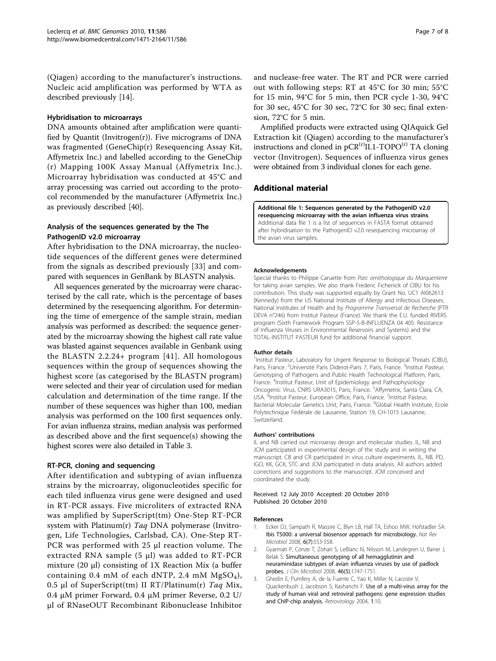<span id="page-6-0"></span>(Qiagen) according to the manufacturer's instructions. Nucleic acid amplification was performed by WTA as described previously [\[14\]](#page-7-0).

#### Hybridisation to microarrays

DNA amounts obtained after amplification were quantified by Quantit (Invitrogen $(r)$ ). Five micrograms of DNA was fragmented (GeneChip(r) Resequencing Assay Kit, Affymetrix Inc.) and labelled according to the GeneChip (r) Mapping 100K Assay Manual (Affymetrix Inc.). Microarray hybridisation was conducted at 45°C and array processing was carried out according to the protocol recommended by the manufacturer (Affymetrix Inc.) as previously described [[40](#page-7-0)].

# Analysis of the sequences generated by the The PathogenID v2.0 microarray

After hybridisation to the DNA microarray, the nucleotide sequences of the different genes were determined from the signals as described previously [[33\]](#page-7-0) and compared with sequences in GenBank by BLASTN analysis.

All sequences generated by the microarray were characterised by the call rate, which is the percentage of bases determined by the resequencing algorithm. For determining the time of emergence of the sample strain, median analysis was performed as described: the sequence generated by the microarray showing the highest call rate value was blasted against sequences available in Genbank using the BLASTN 2.2.24+ program [[41\]](#page-7-0). All homologous sequences within the group of sequences showing the highest score (as categorised by the BLASTN program) were selected and their year of circulation used for median calculation and determination of the time range. If the number of these sequences was higher than 100, median analysis was performed on the 100 first sequences only. For avian influenza strains, median analysis was performed as described above and the first sequence(s) showing the highest scores were also detailed in Table [3.](#page-5-0)

# RT-PCR, cloning and sequencing

After identification and subtyping of avian influenza strains by the microarray, oligonucleotides specific for each tiled influenza virus gene were designed and used in RT-PCR assays. Five microliters of extracted RNA was amplified by SuperScript(tm) One-Step RT-PCR system with Platinum(r)  $Taq$  DNA polymerase (Invitrogen, Life Technologies, Carlsbad, CA). One-Step RT-PCR was performed with 25 μl reaction volume. The extracted RNA sample (5 μl) was added to RT-PCR mixture (20 μl) consisting of 1X Reaction Mix (a buffer containing 0.4 mM of each dNTP, 2.4 mM MgSO<sub>4</sub>), 0.5 μl of SuperScript(tm) II RT/Platinum(r) Taq Mix, 0.4 μM primer Forward, 0.4 μM primer Reverse, 0.2 U/ μl of RNaseOUT Recombinant Ribonuclease Inhibitor and nuclease-free water. The RT and PCR were carried out with following steps: RT at 45°C for 30 min; 55°C for 15 min, 94°C for 5 min, then PCR cycle 1-30, 94°C for 30 sec, 45°C for 30 sec, 72°C for 30 sec; final extension, 72°C for 5 min.

Amplified products were extracted using QIAquick Gel Extraction kit (Qiagen) according to the manufacturer's instructions and cloned in  $pCR^{(r)}II.1-TOPO^{(r)}$  TA cloning vector (Invitrogen). Sequences of influenza virus genes were obtained from 3 individual clones for each gene.

# Additional material

[Additional file 1: S](http://www.biomedcentral.com/content/supplementary/1471-2164-11-586-S1.DOC)equences generated by the PathogenID v2.0 resequencing microarray with the avian influenza virus strains. Additional data file 1 is a list of sequences in FASTA format obtained after hybridisation to the PathogenID v2.0 resequencing microarray of the avian virus samples.

#### Acknowledgements

Special thanks to Philippe Caruette from Parc ornithologique du Marquenterre for taking avian samples. We also thank Frederic Fichenick of CIBU for his contribution. This study was supported equally by Grant No. UC1 AI062613 (Kennedy) from the US National Institute of Allergy and Infectious Diseases, National Institutes of Health and by Programme Transversal de Recherche (PTR DEVA n°246) from Institut Pasteur (France). We thank the E.U. funded RIVERS program (Sixth Framework Program SSP-5-B-INFLUENZA 04 405: Resistance of Influenza Viruses in Environmental Reservoirs and Systems) and the TOTAL-INSTITUT PASTEUR fund for additional financial support.

#### Author details

<sup>1</sup>Institut Pasteur, Laboratory for Urgent Response to Biological Threats (CIBU) Paris, France. <sup>2</sup>Université Paris Diderot-Paris 7, Paris, France. <sup>3</sup>Institut Pasteur Genotyping of Pathogens and Public Health Technological Platform, Paris, France. <sup>4</sup>Institut Pasteur, Unit of Epidemiology and Pathophysiology Oncogenic Virus, CNRS URA3015, Paris, France. <sup>5</sup>Affymetrix, Santa Clara, CA USA. <sup>6</sup>Institut Pasteur, European Office, Paris, France. <sup>7</sup>Institut Pasteur, Bacterial Molecular Genetics Unit, Paris, France. <sup>8</sup>Global Health Institute, Ecole Polytechnique Fédérale de Lausanne, Station 19, CH-1015 Lausanne, Switzerland.

#### Authors' contributions

IL and NB carried out microarray design and molecular studies. IL, NB and JCM participated in experimental design of the study and in writing the manuscript. CB and CR participated in virus culture experiments. IL, NB, PD, IGO, KK, GCK, STC and JCM participated in data analysis. All authors added corrections and suggestions to the manuscript. JCM conceived and coordinated the study.

#### Received: 12 July 2010 Accepted: 20 October 2010 Published: 20 October 2010

#### References

- Ecker DJ, Sampath R, Massire C, Blyn LB, Hall TA, Eshoo MW, Hofstadler SA: [Ibis T5000: a universal biosensor approach for microbiology.](http://www.ncbi.nlm.nih.gov/pubmed/18521073?dopt=Abstract) Nat Rev Microbiol 2008, 6(7):553-558.
- 2. Gyarmati P, Conze T, Zohari S, LeBlanc N, Nilsson M, Landegren U, Baner J, Belak S: [Simultaneous genotyping of all hemagglutinin and](http://www.ncbi.nlm.nih.gov/pubmed/18353937?dopt=Abstract) [neuraminidase subtypes of avian influenza viruses by use of padlock](http://www.ncbi.nlm.nih.gov/pubmed/18353937?dopt=Abstract) [probes.](http://www.ncbi.nlm.nih.gov/pubmed/18353937?dopt=Abstract) J Clin Microbiol 2008, 46(5):1747-1751.
- 3. Ghedin E, Pumfery A, de la Fuente C, Yao K, Miller N, Lacoste V, Quackenbush J, Jacobson S, Kashanchi F: [Use of a multi-virus array for the](http://www.ncbi.nlm.nih.gov/pubmed/15169557?dopt=Abstract) [study of human viral and retroviral pathogens: gene expression studies](http://www.ncbi.nlm.nih.gov/pubmed/15169557?dopt=Abstract) [and ChIP-chip analysis.](http://www.ncbi.nlm.nih.gov/pubmed/15169557?dopt=Abstract) Retrovirology 2004, 1:10.